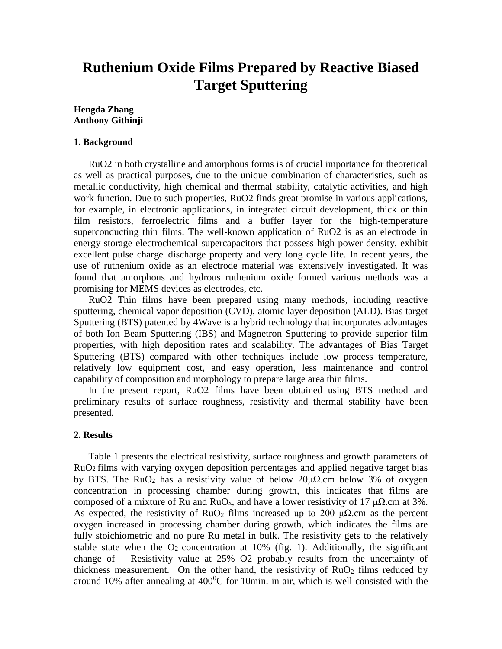# **Ruthenium Oxide Films Prepared by Reactive Biased Target Sputtering**

### **Hengda Zhang Anthony Githinji**

#### **1. Background**

RuO2 in both crystalline and amorphous forms is of crucial importance for theoretical as well as practical purposes, due to the unique combination of characteristics, such as metallic conductivity, high chemical and thermal stability, catalytic activities, and high work function. Due to such properties, RuO2 finds great promise in various applications, for example, in electronic applications, in integrated circuit development, thick or thin film resistors, ferroelectric films and a buffer layer for the high-temperature superconducting thin films. The well-known application of RuO2 is as an electrode in energy storage electrochemical supercapacitors that possess high power density, exhibit excellent pulse charge–discharge property and very long cycle life. In recent years, the use of ruthenium oxide as an electrode material was extensively investigated. It was found that amorphous and hydrous ruthenium oxide formed various methods was a promising for MEMS devices as electrodes, etc.

RuO2 Thin films have been prepared using many methods, including reactive sputtering, chemical vapor deposition (CVD), atomic layer deposition (ALD). Bias target Sputtering (BTS) patented by 4Wave is a hybrid technology that incorporates advantages of both Ion Beam Sputtering (IBS) and Magnetron Sputtering to provide superior film properties, with high deposition rates and scalability. The advantages of Bias Target Sputtering (BTS) compared with other techniques include low process temperature, relatively low equipment cost, and easy operation, less maintenance and control capability of composition and morphology to prepare large area thin films.

In the present report, RuO2 films have been obtained using BTS method and preliminary results of surface roughness, resistivity and thermal stability have been presented.

#### **2. Results**

Table 1 presents the electrical resistivity, surface roughness and growth parameters of RuO2 films with varying oxygen deposition percentages and applied negative target bias by BTS. The RuO<sub>2</sub> has a resistivity value of below 20μΩ.cm below 3% of oxygen concentration in processing chamber during growth, this indicates that films are composed of a mixture of Ru and RuO<sub>x</sub>, and have a lower resistivity of 17  $\mu\Omega$ .cm at 3%. As expected, the resistivity of RuO<sub>2</sub> films increased up to 200  $\mu\Omega$ .cm as the percent oxygen increased in processing chamber during growth, which indicates the films are fully stoichiometric and no pure Ru metal in bulk. The resistivity gets to the relatively stable state when the  $O_2$  concentration at 10% (fig. 1). Additionally, the significant change of Resistivity value at 25% O2 probably results from the uncertainty of thickness measurement. On the other hand, the resistivity of  $RuO<sub>2</sub>$  films reduced by around 10% after annealing at  $400^{\circ}$ C for 10min. in air, which is well consisted with the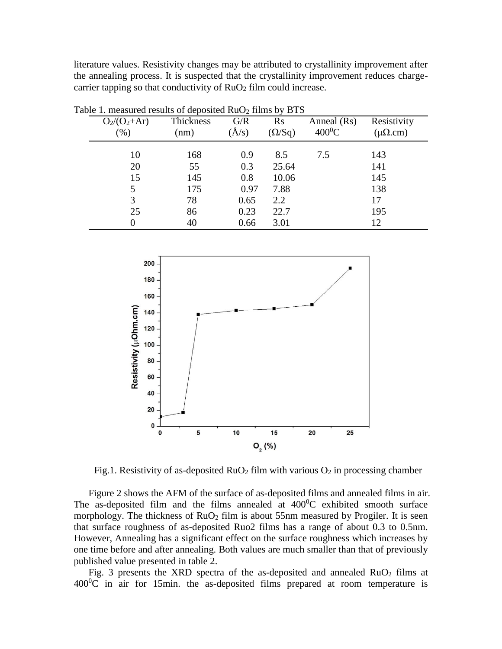literature values. Resistivity changes may be attributed to crystallinity improvement after the annealing process. It is suspected that the crystallinity improvement reduces chargecarrier tapping so that conductivity of  $RuO<sub>2</sub>$  film could increase.

| able 1. Incastrict results of deposited $\mathbf{N}$ to $\mathbf{Z}$ films by $\mathbf{D}$ rd |           |             |               |              |                  |            |  |
|-----------------------------------------------------------------------------------------------|-----------|-------------|---------------|--------------|------------------|------------|--|
| $O_2/(O_2+A r)$                                                                               | Thickness | G/R         | $\rm Rs$      | Anneal (Rs)  | Resistivity      |            |  |
| (%)                                                                                           | (nm)      | $\hat{A}/s$ | $(\Omega/Sq)$ | $400^0C$     | $(\mu\Omega.cm)$ |            |  |
|                                                                                               |           |             |               |              |                  |            |  |
|                                                                                               |           |             |               |              |                  |            |  |
|                                                                                               |           |             |               |              |                  |            |  |
| 15                                                                                            | 145       | 0.8         | 10.06         |              | 145              |            |  |
| 5                                                                                             | 175       | 0.97        | 7.88          | 138          |                  |            |  |
| 3                                                                                             | 78        | 0.65        | 2.2           | 17           |                  |            |  |
| 25                                                                                            | 86        | 0.23        | 22.7          |              | 195              |            |  |
| 0                                                                                             | 40        | 0.66        | 3.01          |              | 12               |            |  |
|                                                                                               | 10<br>20  | 168<br>55   | 0.9<br>0.3    | 8.5<br>25.64 | 7.5              | 143<br>141 |  |

Table 1. measured results of deposited  $RuO<sub>2</sub>$  films by BTS



Fig.1. Resistivity of as-deposited  $RuO<sub>2</sub>$  film with various  $O<sub>2</sub>$  in processing chamber

Figure 2 shows the AFM of the surface of as-deposited films and annealed films in air. The as-deposited film and the films annealed at  $400^{\circ}$ C exhibited smooth surface morphology. The thickness of  $RuO<sub>2</sub>$  film is about 55nm measured by Progiler. It is seen that surface roughness of as-deposited Ruo2 films has a range of about 0.3 to 0.5nm. However, Annealing has a significant effect on the surface roughness which increases by one time before and after annealing. Both values are much smaller than that of previously published value presented in table 2.

Fig. 3 presents the XRD spectra of the as-deposited and annealed  $RuO<sub>2</sub>$  films at  $400^{\circ}$ C in air for 15min. the as-deposited films prepared at room temperature is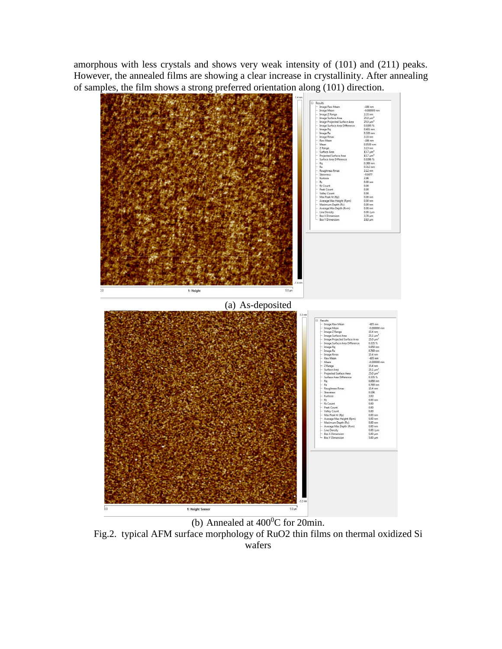amorphous with less crystals and shows very weak intensity of (101) and (211) peaks. However, the annealed films are showing a clear increase in crystallinity. After annealing of samples, the film shows a strong preferred orientation along (101) direction.



(b) Annealed at  $400^{\circ}$ C for 20min. Fig.2. typical AFM surface morphology of RuO2 thin films on thermal oxidized Si wafers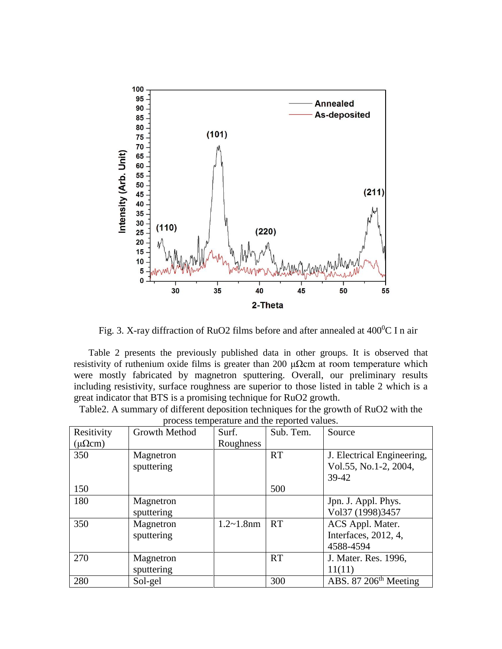

Fig. 3. X-ray diffraction of RuO2 films before and after annealed at  $400^{\circ}$ C I n air

Table 2 presents the previously published data in other groups. It is observed that resistivity of ruthenium oxide films is greater than 200  $\mu\Omega$ cm at room temperature which were mostly fabricated by magnetron sputtering. Overall, our preliminary results including resistivity, surface roughness are superior to those listed in table 2 which is a great indicator that BTS is a promising technique for RuO2 growth.

Table2. A summary of different deposition techniques for the growth of RuO2 with the process temperature and the reported values.

| process temperature and the reported values. |               |                |           |                                   |  |  |  |
|----------------------------------------------|---------------|----------------|-----------|-----------------------------------|--|--|--|
| Resitivity                                   | Growth Method | Surf.          | Sub. Tem. | Source                            |  |  |  |
| $(\mu \Omega cm)$                            |               | Roughness      |           |                                   |  |  |  |
| 350                                          | Magnetron     |                | <b>RT</b> | J. Electrical Engineering,        |  |  |  |
|                                              | sputtering    |                |           | Vol.55, No.1-2, 2004,             |  |  |  |
|                                              |               |                |           | 39-42                             |  |  |  |
| 150                                          |               |                | 500       |                                   |  |  |  |
| 180                                          | Magnetron     |                |           | Jpn. J. Appl. Phys.               |  |  |  |
|                                              | sputtering    |                |           | Vol37 (1998)3457                  |  |  |  |
| 350                                          | Magnetron     | $1.2 - 1.8$ nm | <b>RT</b> | ACS Appl. Mater.                  |  |  |  |
|                                              | sputtering    |                |           | Interfaces, 2012, 4,              |  |  |  |
|                                              |               |                |           | 4588-4594                         |  |  |  |
| 270                                          | Magnetron     |                | <b>RT</b> | J. Mater. Res. 1996,              |  |  |  |
|                                              | sputtering    |                |           | 11(11)                            |  |  |  |
| 280                                          | Sol-gel       |                | 300       | ABS. 87 206 <sup>th</sup> Meeting |  |  |  |